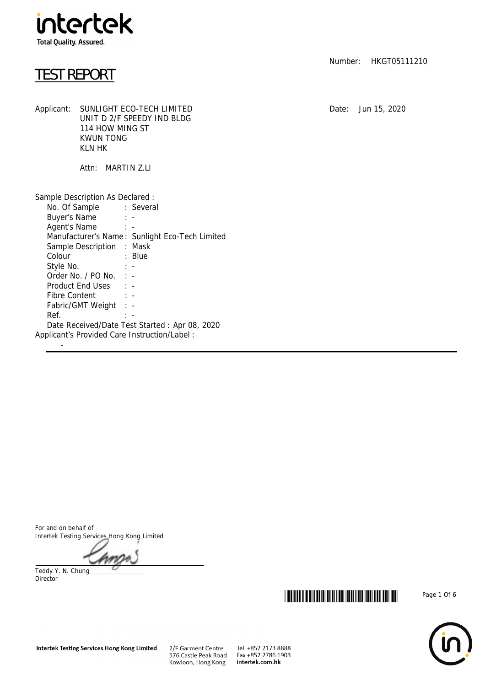

## TEST REPORT

Number: HKGT05111210

Applicant: SUNLIGHT ECO-TECH LIMITED Date: Jun 15, 2020 UNIT D 2/F SPEEDY IND BLDG 114 HOW MING ST KWUN TONG KLN HK

Attn: MARTIN Z.LI

| Sample Description As Declared :                                                                                          |                                                |  |
|---------------------------------------------------------------------------------------------------------------------------|------------------------------------------------|--|
| No. Of Sample : Several                                                                                                   |                                                |  |
| Buyer's Name : -                                                                                                          |                                                |  |
| Agent's Name: : -                                                                                                         |                                                |  |
|                                                                                                                           | Manufacturer's Name: Sunlight Eco-Tech Limited |  |
| Sample Description : Mask                                                                                                 |                                                |  |
| and the control of the Blue State State State State State State State State State State State State State State<br>Colour |                                                |  |
|                                                                                                                           |                                                |  |
| Order No. $/$ PO No. $\cdot$ -                                                                                            |                                                |  |
| Product End Uses : -                                                                                                      |                                                |  |
| Fibre Content : -                                                                                                         |                                                |  |
| Fabric/GMT Weight : -                                                                                                     |                                                |  |
| Ref.                                                                                                                      | $\mathbb{R}$                                   |  |
|                                                                                                                           | Date Received/Date Test Started: Apr 08, 2020  |  |
| Applicant's Provided Care Instruction/Label:                                                                              |                                                |  |
|                                                                                                                           |                                                |  |

For and on behalf of Intertek Testing Services Hong Kong Limited

Teddy Y. N. Chung Director





Tel +852 2173 8888 Fax +852 2786 1903 intertek.com.hk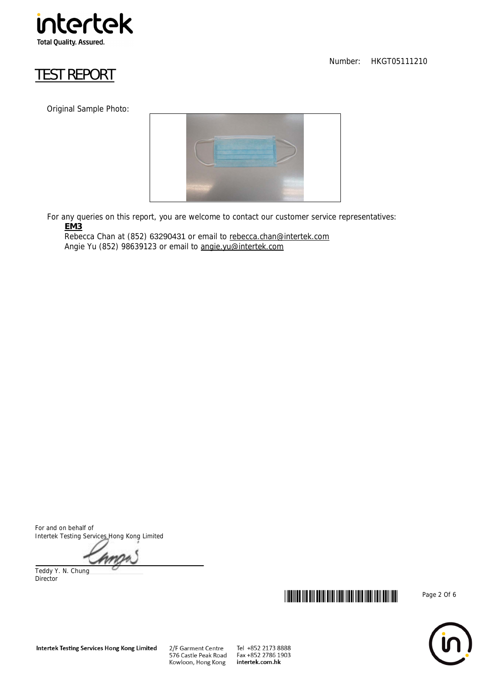

# TEST REPORT

Original Sample Photo:



 For any queries on this report, you are welcome to contact our customer service representatives: **EM3**

Rebecca Chan at (852) 63290431 or email to rebecca.chan@intertek.com Angie Yu (852) 98639123 or email to angie.yu@intertek.com

For and on behalf of Intertek Testing Services Hong Kong Limited

Teddy Y. N. Chung Director



Number: HKGT05111210



Tel +852 2173 8888 Fax +852 2786 1903 intertek.com.hk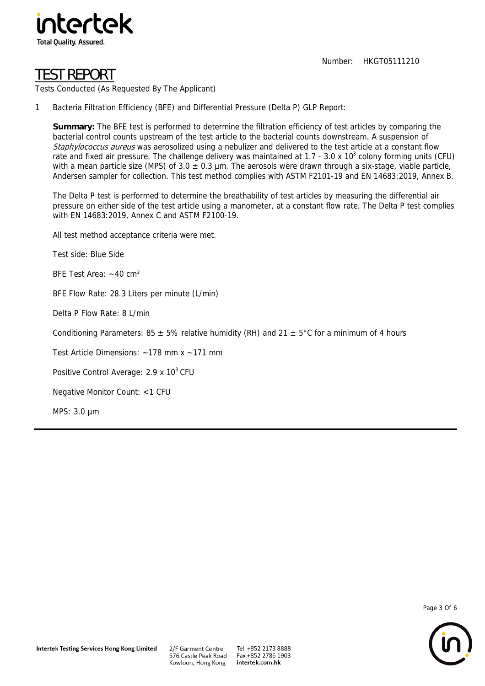

# TEST REPORT

Tests Conducted (As Requested By The Applicant)

1 Bacteria Filtration Efficiency (BFE) and Differential Pressure (Delta P) GLP Report:

**Summary:** The BFE test is performed to determine the filtration efficiency of test articles by comparing the bacterial control counts upstream of the test article to the bacterial counts downstream. A suspension of Staphylococcus aureus was aerosolized using a nebulizer and delivered to the test article at a constant flow rate and fixed air pressure. The challenge delivery was maintained at 1.7 - 3.0 x 10<sup>3</sup> colony forming units (CFU) with a mean particle size (MPS) of  $3.0 \pm 0.3$  µm. The aerosols were drawn through a six-stage, viable particle, Andersen sampler for collection. This test method complies with ASTM F2101-19 and EN 14683:2019, Annex B.

The Delta P test is performed to determine the breathability of test articles by measuring the differential air pressure on either side of the test article using a manometer, at a constant flow rate. The Delta P test complies with EN 14683:2019, Annex C and ASTM F2100-19.

All test method acceptance criteria were met.

Test side: Blue Side

BFE Test Area: ~40 cm²

BFE Flow Rate: 28.3 Liters per minute (L/min)

Delta P Flow Rate: 8 L/min

Conditioning Parameters: 85  $\pm$  5% relative humidity (RH) and 21  $\pm$  5°C for a minimum of 4 hours

Test Article Dimensions: ~178 mm x ~171 mm

Positive Control Average: 2.9 x 10<sup>3</sup> CFU

Negative Monitor Count: <1 CFU

MPS: 3.0 µm

Page 3 Of 6

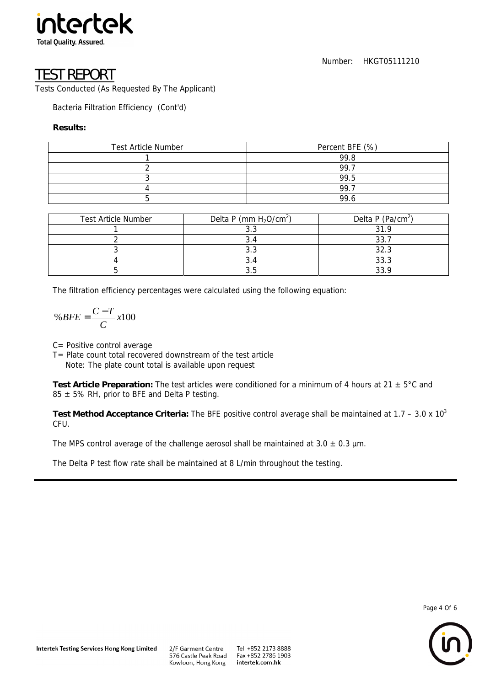

### EST REPORT

Tests Conducted (As Requested By The Applicant)

Bacteria Filtration Efficiency (Cont'd)

#### **Results:**

| <b>Test Article Number</b> | Percent BFE (%) |
|----------------------------|-----------------|
|                            | 99.8            |
|                            | 99.7            |
|                            | 99.5            |
|                            | 99.7            |
|                            | 99.6            |

| <b>Test Article Number</b> | Delta P (mm $H_2O/cm^2$ ) | Delta P (Pa/cm <sup>2</sup> ) |
|----------------------------|---------------------------|-------------------------------|
|                            |                           | 21 Q                          |
|                            |                           | つつ                            |
|                            | J.J                       | 32.3                          |
|                            |                           | 33.3                          |
|                            |                           | 22 O                          |

The filtration efficiency percentages were calculated using the following equation:

$$
\%BFE = \frac{C - T}{C} \, x100
$$

C= Positive control average

T= Plate count total recovered downstream of the test article

Note: The plate count total is available upon request

**Test Article Preparation:** The test articles were conditioned for a minimum of 4 hours at 21 ± 5°C and  $85 \pm 5\%$  RH, prior to BFE and Delta P testing.

**Test Method Acceptance Criteria:** The BFE positive control average shall be maintained at 1.7 – 3.0 x 103 CFU.

The MPS control average of the challenge aerosol shall be maintained at  $3.0 \pm 0.3$  µm.

The Delta P test flow rate shall be maintained at 8 L/min throughout the testing.



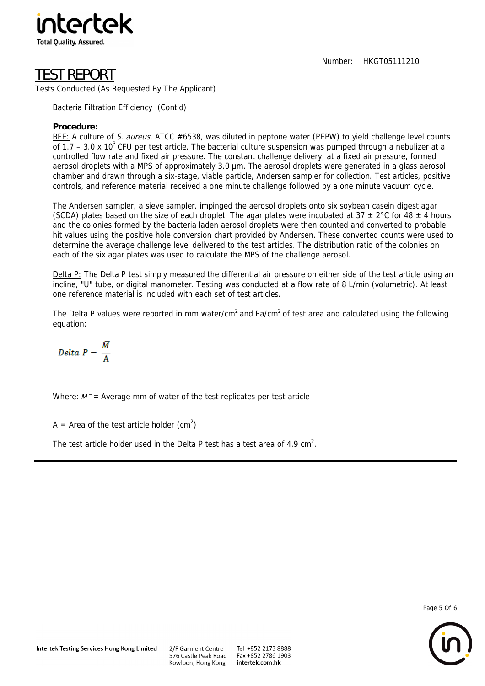

# TEST REPORT

Tests Conducted (As Requested By The Applicant)

Bacteria Filtration Efficiency (Cont'd)

### **Procedure:**

BFE: A culture of S. aureus, ATCC #6538, was diluted in peptone water (PEPW) to yield challenge level counts of 1.7 – 3.0 x 10<sup>3</sup> CFU per test article. The bacterial culture suspension was pumped through a nebulizer at a controlled flow rate and fixed air pressure. The constant challenge delivery, at a fixed air pressure, formed aerosol droplets with a MPS of approximately 3.0 µm. The aerosol droplets were generated in a glass aerosol chamber and drawn through a six-stage, viable particle, Andersen sampler for collection. Test articles, positive controls, and reference material received a one minute challenge followed by a one minute vacuum cycle.

The Andersen sampler, a sieve sampler, impinged the aerosol droplets onto six soybean casein digest agar (SCDA) plates based on the size of each droplet. The agar plates were incubated at 37  $\pm$  2°C for 48  $\pm$  4 hours and the colonies formed by the bacteria laden aerosol droplets were then counted and converted to probable hit values using the positive hole conversion chart provided by Andersen. These converted counts were used to determine the average challenge level delivered to the test articles. The distribution ratio of the colonies on each of the six agar plates was used to calculate the MPS of the challenge aerosol.

Delta P: The Delta P test simply measured the differential air pressure on either side of the test article using an incline, "U" tube, or digital manometer. Testing was conducted at a flow rate of 8 L/min (volumetric). At least one reference material is included with each set of test articles.

The Delta P values were reported in mm water/cm<sup>2</sup> and Pa/cm<sup>2</sup> of test area and calculated using the following equation:

$$
Delta P = \frac{\overline{M}}{A}
$$

Where:  $M^-$  = Average mm of water of the test replicates per test article

A = Area of the test article holder (cm<sup>2</sup>)

The test article holder used in the Delta P test has a test area of 4.9 cm<sup>2</sup>.

Page 5 Of 6